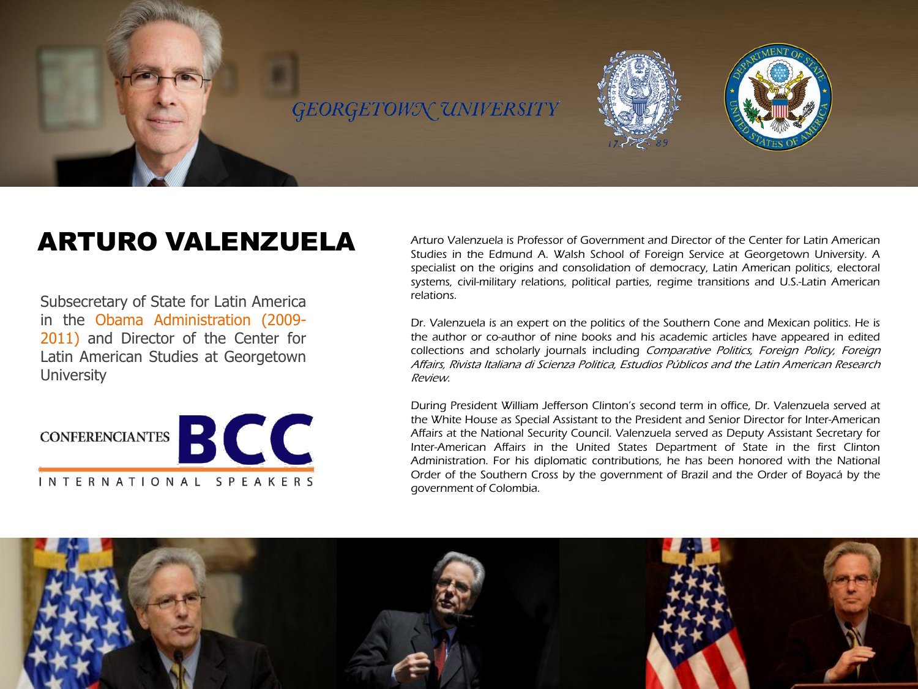

## ARTURO VALENZUELA

Subsecretary of State for Latin America in the Obama Administration (2009- 2011) and Director of the Center for Latin American Studies at Georgetown **University** 



Arturo Valenzuela is Professor of Government and Director of the Center for Latin American Studies in the Edmund A. Walsh School of Foreign Service at Georgetown University. A specialist on the origins and consolidation of democracy, Latin American politics, electoral systems, civil-military relations, political parties, regime transitions and U.S.-Latin American relations.

Dr. Valenzuela is an expert on the politics of the Southern Cone and Mexican politics. He is the author or co-author of nine books and his academic articles have appeared in edited collections and scholarly journals including Comparative Politics, Foreign Policy, Foreign Affairs, Rivista Italiana di Scienza Politica, Estudios Públicos and the Latin American Research Review.

During President William Jefferson Clinton's second term in office, Dr. Valenzuela served at the White House as Special Assistant to the President and Senior Director for Inter-American Affairs at the National Security Council. Valenzuela served as Deputy Assistant Secretary for Inter-American Affairs in the United States Department of State in the first Clinton Administration. For his diplomatic contributions, he has been honored with the National Order of the Southern Cross by the government of Brazil and the Order of Boyacá by the government of Colombia.